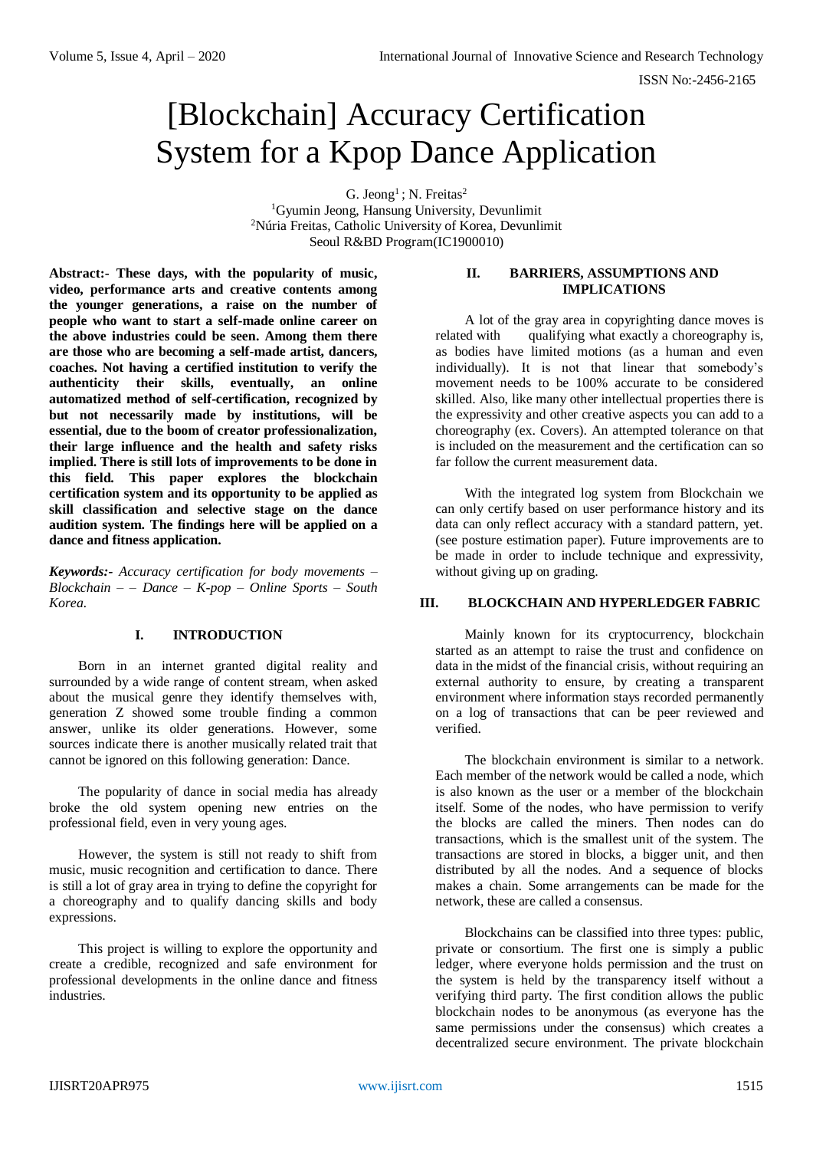# [Blockchain] Accuracy Certification System for a Kpop Dance Application

G. Jeong<sup>1</sup>; N. Freitas<sup>2</sup> <sup>1</sup>Gyumin Jeong, Hansung University, Devunlimit <sup>2</sup>Núria Freitas, Catholic University of Korea, Devunlimit

Seoul R&BD Program(IC1900010)

**Abstract:- These days, with the popularity of music, video, performance arts and creative contents among the younger generations, a raise on the number of people who want to start a self-made online career on the above industries could be seen. Among them there are those who are becoming a self-made artist, dancers, coaches. Not having a certified institution to verify the authenticity their skills, eventually, an online automatized method of self-certification, recognized by but not necessarily made by institutions, will be essential, due to the boom of creator professionalization, their large influence and the health and safety risks implied. There is still lots of improvements to be done in this field. This paper explores the blockchain certification system and its opportunity to be applied as skill classification and selective stage on the dance audition system. The findings here will be applied on a dance and fitness application.**

*Keywords:- Accuracy certification for body movements – Blockchain – – Dance – K-pop – Online Sports – South Korea.*

# **I. INTRODUCTION**

Born in an internet granted digital reality and surrounded by a wide range of content stream, when asked about the musical genre they identify themselves with, generation Z showed some trouble finding a common answer, unlike its older generations. However, some sources indicate there is another musically related trait that cannot be ignored on this following generation: Dance.

The popularity of dance in social media has already broke the old system opening new entries on the professional field, even in very young ages.

However, the system is still not ready to shift from music, music recognition and certification to dance. There is still a lot of gray area in trying to define the copyright for a choreography and to qualify dancing skills and body expressions.

This project is willing to explore the opportunity and create a credible, recognized and safe environment for professional developments in the online dance and fitness industries.

## **II. BARRIERS, ASSUMPTIONS AND IMPLICATIONS**

A lot of the gray area in copyrighting dance moves is related with qualifying what exactly a choreography is, as bodies have limited motions (as a human and even individually). It is not that linear that somebody's movement needs to be 100% accurate to be considered skilled. Also, like many other intellectual properties there is the expressivity and other creative aspects you can add to a choreography (ex. Covers). An attempted tolerance on that is included on the measurement and the certification can so far follow the current measurement data.

With the integrated log system from Blockchain we can only certify based on user performance history and its data can only reflect accuracy with a standard pattern, yet. (see posture estimation paper). Future improvements are to be made in order to include technique and expressivity, without giving up on grading.

#### **III. BLOCKCHAIN AND HYPERLEDGER FABRIC**

Mainly known for its cryptocurrency, blockchain started as an attempt to raise the trust and confidence on data in the midst of the financial crisis, without requiring an external authority to ensure, by creating a transparent environment where information stays recorded permanently on a log of transactions that can be peer reviewed and verified.

The blockchain environment is similar to a network. Each member of the network would be called a node, which is also known as the user or a member of the blockchain itself. Some of the nodes, who have permission to verify the blocks are called the miners. Then nodes can do transactions, which is the smallest unit of the system. The transactions are stored in blocks, a bigger unit, and then distributed by all the nodes. And a sequence of blocks makes a chain. Some arrangements can be made for the network, these are called a consensus.

Blockchains can be classified into three types: public, private or consortium. The first one is simply a public ledger, where everyone holds permission and the trust on the system is held by the transparency itself without a verifying third party. The first condition allows the public blockchain nodes to be anonymous (as everyone has the same permissions under the consensus) which creates a decentralized secure environment. The private blockchain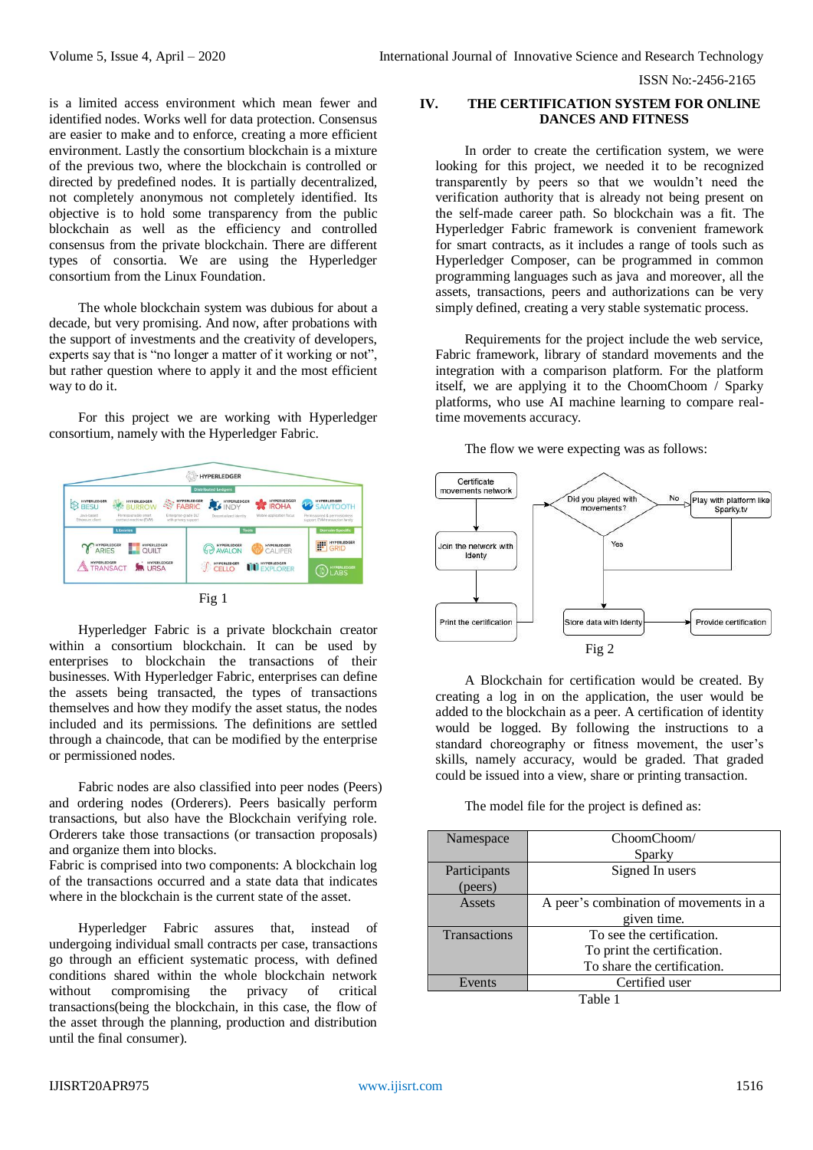ISSN No:-2456-2165

is a limited access environment which mean fewer and identified nodes. Works well for data protection. Consensus are easier to make and to enforce, creating a more efficient environment. Lastly the consortium blockchain is a mixture of the previous two, where the blockchain is controlled or directed by predefined nodes. It is partially decentralized, not completely anonymous not completely identified. Its objective is to hold some transparency from the public blockchain as well as the efficiency and controlled consensus from the private blockchain. There are different types of consortia. We are using the Hyperledger consortium from the Linux Foundation.

The whole blockchain system was dubious for about a decade, but very promising. And now, after probations with the support of investments and the creativity of developers, experts say that is "no longer a matter of it working or not", but rather question where to apply it and the most efficient way to do it.

For this project we are working with Hyperledger consortium, namely with the Hyperledger Fabric.





Hyperledger Fabric is a private blockchain creator within a consortium blockchain. It can be used by enterprises to blockchain the transactions of their businesses. With Hyperledger Fabric, enterprises can define the assets being transacted, the types of transactions themselves and how they modify the asset status, the nodes included and its permissions. The definitions are settled through a chaincode, that can be modified by the enterprise or permissioned nodes.

Fabric nodes are also classified into peer nodes (Peers) and ordering nodes (Orderers). Peers basically perform transactions, but also have the Blockchain verifying role. Orderers take those transactions (or transaction proposals) and organize them into blocks.

Fabric is comprised into two components: A blockchain log of the transactions occurred and a state data that indicates where in the blockchain is the current state of the asset.

Hyperledger Fabric assures that, instead of undergoing individual small contracts per case, transactions go through an efficient systematic process, with defined conditions shared within the whole blockchain network without compromising the privacy of critical transactions(being the blockchain, in this case, the flow of the asset through the planning, production and distribution until the final consumer).

## **IV. THE CERTIFICATION SYSTEM FOR ONLINE DANCES AND FITNESS**

In order to create the certification system, we were looking for this project, we needed it to be recognized transparently by peers so that we wouldn't need the verification authority that is already not being present on the self-made career path. So blockchain was a fit. The Hyperledger Fabric framework is convenient framework for smart contracts, as it includes a range of tools such as Hyperledger Composer, can be programmed in common programming languages such as java and moreover, all the assets, transactions, peers and authorizations can be very simply defined, creating a very stable systematic process.

Requirements for the project include the web service, Fabric framework, library of standard movements and the integration with a comparison platform. For the platform itself, we are applying it to the ChoomChoom / Sparky platforms, who use AI machine learning to compare realtime movements accuracy.

The flow we were expecting was as follows:



A Blockchain for certification would be created. By creating a log in on the application, the user would be added to the blockchain as a peer. A certification of identity would be logged. By following the instructions to a standard choreography or fitness movement, the user's skills, namely accuracy, would be graded. That graded could be issued into a view, share or printing transaction.

The model file for the project is defined as:

| Namespace    | ChoomChoom/                            |
|--------------|----------------------------------------|
|              | Sparky                                 |
| Participants | Signed In users                        |
| (peers)      |                                        |
| Assets       | A peer's combination of movements in a |
|              | given time.                            |
| Transactions | To see the certification.              |
|              | To print the certification.            |
|              | To share the certification.            |
| Events       | Certified user                         |

Table 1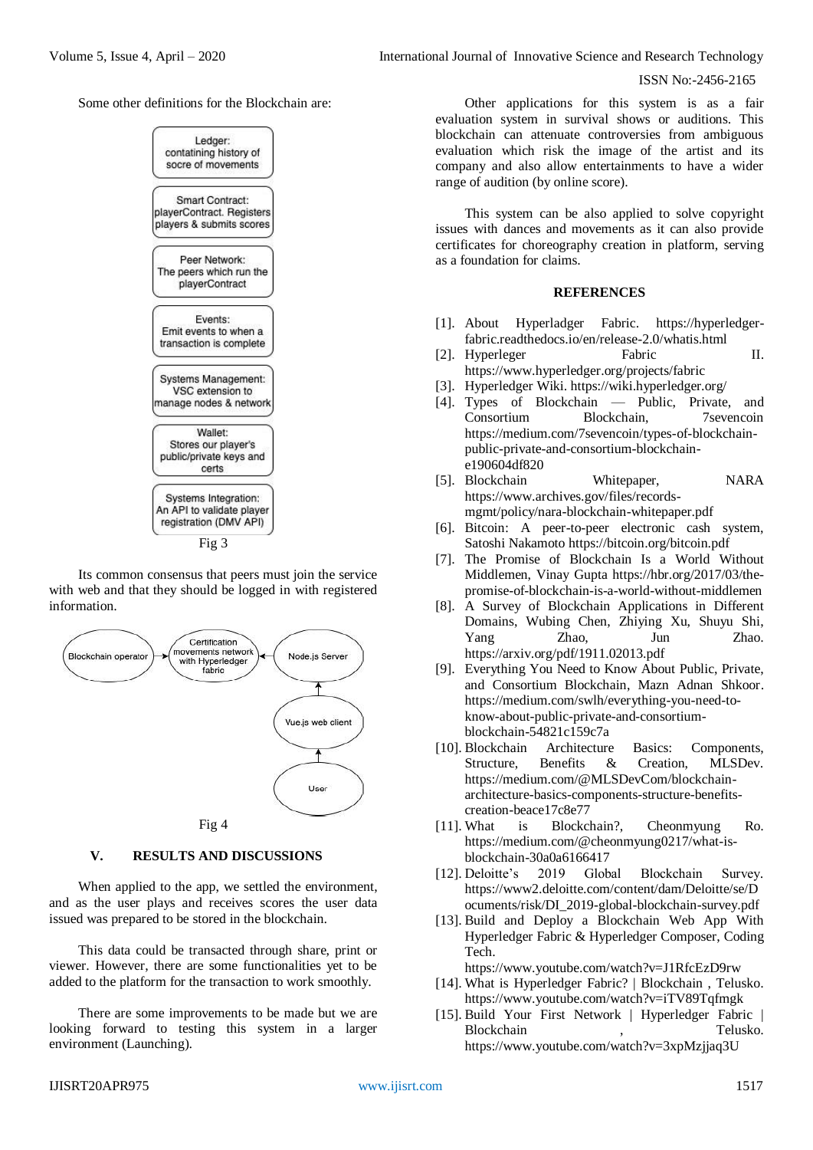## ISSN No:-2456-2165

Some other definitions for the Blockchain are:



Its common consensus that peers must join the service with web and that they should be logged in with registered information.



#### **V. RESULTS AND DISCUSSIONS**

When applied to the app, we settled the environment, and as the user plays and receives scores the user data issued was prepared to be stored in the blockchain.

This data could be transacted through share, print or viewer. However, there are some functionalities yet to be added to the platform for the transaction to work smoothly.

There are some improvements to be made but we are looking forward to testing this system in a larger environment (Launching).

Other applications for this system is as a fair evaluation system in survival shows or auditions. This blockchain can attenuate controversies from ambiguous evaluation which risk the image of the artist and its company and also allow entertainments to have a wider range of audition (by online score).

This system can be also applied to solve copyright issues with dances and movements as it can also provide certificates for choreography creation in platform, serving as a foundation for claims.

## **REFERENCES**

- [1]. About Hyperladger Fabric. [https://hyperledger](https://hyperledger-fabric.readthedocs.io/en/release-2.0/whatis.html)[fabric.readthedocs.io/en/release-2.0/whatis.html](https://hyperledger-fabric.readthedocs.io/en/release-2.0/whatis.html)
- [2]. Hyperleger Fabric II. <https://www.hyperledger.org/projects/fabric>
- [3]. Hyperledger Wiki[. https://wiki.hyperledger.org/](https://wiki.hyperledger.org/)
- [4]. Types of Blockchain Public, Private, and Consortium Blockchain, 7sevencoin [https://medium.com/7sevencoin/types-of-blockchain](https://medium.com/7sevencoin/types-of-blockchain-public-private-and-consortium-blockchain-e190604df820)[public-private-and-consortium-blockchain](https://medium.com/7sevencoin/types-of-blockchain-public-private-and-consortium-blockchain-e190604df820)[e190604df820](https://medium.com/7sevencoin/types-of-blockchain-public-private-and-consortium-blockchain-e190604df820)
- [5]. Blockchain Whitepaper, NARA [https://www.archives.gov/files/records](https://www.archives.gov/files/records-mgmt/policy/nara-blockchain-whitepaper.pdf)[mgmt/policy/nara-blockchain-whitepaper.pdf](https://www.archives.gov/files/records-mgmt/policy/nara-blockchain-whitepaper.pdf)
- [6]. Bitcoin: A peer-to-peer electronic cash system, Satoshi Nakamoto <https://bitcoin.org/bitcoin.pdf>
- [7]. The Promise of Blockchain Is a World Without Middlemen, Vinay Gupta [https://hbr.org/2017/03/the](https://hbr.org/2017/03/the-promise-of-blockchain-is-a-world-without-middlemen)[promise-of-blockchain-is-a-world-without-middlemen](https://hbr.org/2017/03/the-promise-of-blockchain-is-a-world-without-middlemen)
- [8]. A Survey of Blockchain Applications in Different Domains, Wubing Chen, Zhiying Xu, Shuyu Shi, Yang Zhao, Jun Zhao. <https://arxiv.org/pdf/1911.02013.pdf>
- [9]. Everything You Need to Know About Public, Private, and Consortium Blockchain, Mazn Adnan Shkoor. [https://medium.com/swlh/everything-you-need-to](https://medium.com/swlh/everything-you-need-to-know-about-public-private-and-consortium-blockchain-54821c159c7a)[know-about-public-private-and-consortium](https://medium.com/swlh/everything-you-need-to-know-about-public-private-and-consortium-blockchain-54821c159c7a)[blockchain-54821c159c7a](https://medium.com/swlh/everything-you-need-to-know-about-public-private-and-consortium-blockchain-54821c159c7a)
- [10]. Blockchain Architecture Basics: Components, Structure, Benefits & Creation, MLSDev. [https://medium.com/@MLSDevCom/blockchain](https://medium.com/@MLSDevCom/blockchain-architecture-basics-components-structure-benefits-creation-beace17c8e77)[architecture-basics-components-structure-benefits](https://medium.com/@MLSDevCom/blockchain-architecture-basics-components-structure-benefits-creation-beace17c8e77)[creation-beace17c8e77](https://medium.com/@MLSDevCom/blockchain-architecture-basics-components-structure-benefits-creation-beace17c8e77)
- [11]. What is Blockchain?, Cheonmyung Ro. [https://medium.com/@cheonmyung0217/what-is](https://medium.com/@cheonmyung0217/what-is-blockchain-30a0a6166417)[blockchain-30a0a6166417](https://medium.com/@cheonmyung0217/what-is-blockchain-30a0a6166417)
- [12]. Deloitte's 2019 Global Blockchain Survey. [https://www2.deloitte.com/content/dam/Deloitte/se/D](https://www2.deloitte.com/content/dam/Deloitte/se/Documents/risk/DI_2019-global-blockchain-survey.pdf) [ocuments/risk/DI\\_2019-global-blockchain-survey.pdf](https://www2.deloitte.com/content/dam/Deloitte/se/Documents/risk/DI_2019-global-blockchain-survey.pdf)
- [13]. Build and Deploy a Blockchain Web App With Hyperledger Fabric & Hyperledger Composer, Coding Tech.

<https://www.youtube.com/watch?v=J1RfcEzD9rw>

- [14]. What is Hyperledger Fabric? | Blockchain, Telusko. <https://www.youtube.com/watch?v=iTV89Tqfmgk>
- [15]. Build Your First Network | Hyperledger Fabric | Blockchain , Telusko. <https://www.youtube.com/watch?v=3xpMzjjaq3U>